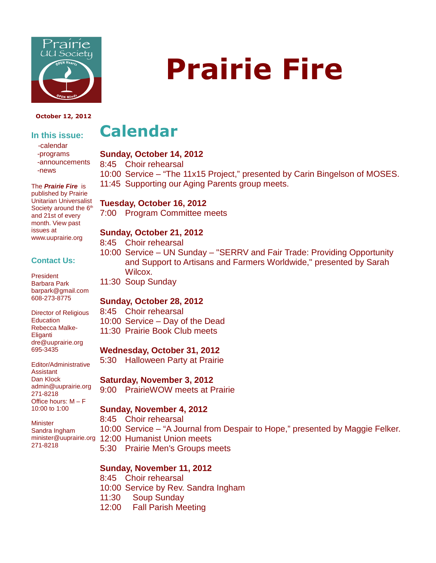

#### **October 12, 2012**

### **In this issue:**

 -calendar -programs -announcements -news

The **Prairie Fire** is published by Prairie Unitarian Universalist Society around the 6<sup>th</sup> and 21st of every month. View past issues at www.uuprairie.org

#### **Contact Us:**

President Barbara Park barpark@gmail.com 608-273-8775

Director of Religious **Education** Rebecca Malke-Eliganti dre@uuprairie.org 695-3435

Editor/Administrative Assistant Dan Klock admin@uuprairie.org 271-8218 Office hours:  $M - F$ 10:00 to 1:00

**Minister** Sandra Ingham 271-8218

# **Prairie Fire**

# **Calendar**

#### **Sunday, October 14, 2012**

8:45 Choir rehearsal

10:00 Service – "The 11x15 Project," presented by Carin Bingelson of MOSES. 11:45 Supporting our Aging Parents group meets.

#### **Tuesday, October 16, 2012**

7:00 Program Committee meets

#### **Sunday, October 21, 2012**

8:45 Choir rehearsal

- 10:00 Service UN Sunday "SERRV and Fair Trade: Providing Opportunity and Support to Artisans and Farmers Worldwide," presented by Sarah Wilcox.
- 11:30 Soup Sunday

#### **Sunday, October 28, 2012**

8:45 Choir rehearsal 10:00 Service – Day of the Dead

11:30 Prairie Book Club meets

#### **Wednesday, October 31, 2012**

5:30 Halloween Party at Prairie

#### **Saturday, November 3, 2012**

9:00 PrairieWOW meets at Prairie

#### **Sunday, November 4, 2012**

8:45 Choir rehearsal

- 10:00 Service "A Journal from Despair to Hope," presented by Maggie Felker.
- minister@uuprairie.org 12:00 Humanist Union meets
	- 5:30 Prairie Men's Groups meets

#### **Sunday, November 11, 2012**

8:45 Choir rehearsal 10:00 Service by Rev. Sandra Ingham 11:30 Soup Sunday

12:00 Fall Parish Meeting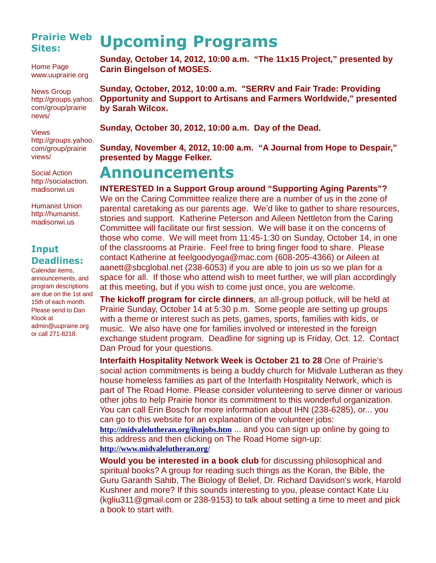### **Prairie Web Sites:**

Home Page www.uuprairie.org

News Group http://groups.yahoo. com/group/prairie news/

Views http://groups.yahoo. com/group/prairie views/

Social Action http://socialaction. madisonwi.us

Humanist Union http://humanist. madisonwi.us

### **Input Deadlines:**

Calendar items, announcements, and program descriptions are due on the 1st and 15th of each month. Please send to Dan Klock at admin@uuprairie.org or call 271-8218.

# **Upcoming Programs**

**Sunday, October 14, 2012, 10:00 a.m. "The 11x15 Project," presented by Carin Bingelson of MOSES.**

**Sunday, October, 2012, 10:00 a.m. "SERRV and Fair Trade: Providing Opportunity and Support to Artisans and Farmers Worldwide," presented by Sarah Wilcox.** 

**Sunday, October 30, 2012, 10:00 a.m. Day of the Dead.**

**Sunday, November 4, 2012, 10:00 a.m. "A Journal from Hope to Despair," presented by Magge Felker.**

## **Announcements**

**INTERESTED In a Support Group around "Supporting Aging Parents"?** We on the Caring Committee realize there are a number of us in the zone of parental caretaking as our parents age. We'd like to gather to share resources, stories and support. Katherine Peterson and Aileen Nettleton from the Caring Committee will facilitate our first session. We will base it on the concerns of those who come. We will meet from 11:45-1:30 on Sunday, October 14, in one of the classrooms at Prairie. Feel free to bring finger food to share. Please contact Katherine at feelgoodyoga@mac.com (608-205-4366) or Aileen at aanett@sbcglobal.net (238-6053) if you are able to join us so we plan for a space for all. If those who attend wish to meet further, we will plan accordingly at this meeting, but if you wish to come just once, you are welcome.

**The kickoff program for circle dinners**, an all-group potluck, will be held at Prairie Sunday, October 14 at 5:30 p.m. Some people are setting up groups with a theme or interest such as pets, games, sports, families with kids, or music. We also have one for families involved or interested in the foreign exchange student program. Deadline for signing up is Friday, Oct. 12. Contact Dan Proud for your questions.

**Interfaith Hospitality Network Week is October 21 to 28** One of Prairie's social action commitments is being a buddy church for Midvale Lutheran as they house homeless families as part of the Interfaith Hospitality Network, which is part of The Road Home. Please consider volunteering to serve dinner or various other jobs to help Prairie honor its commitment to this wonderful organization. You can call Erin Bosch for more information about IHN (238-6285), or... you can go to this website for an explanation of the volunteer jobs: **http://midvalelutheran.org/ihnjobs.htm** ... and you can sign up online by going to

this address and then clicking on The Road Home sign-up: **http://www.midvalelutheran.org/**

**Would you be interested in a book club** for discussing philosophical and spiritual books? A group for reading such things as the Koran, the Bible, the Guru Garanth Sahib, The Biology of Belief, Dr. Richard Davidson's work, Harold Kushner and more? If this sounds interesting to you, please contact Kate Liu (kgliu311@gmail.com or 238-9153) to talk about setting a time to meet and pick a book to start with.